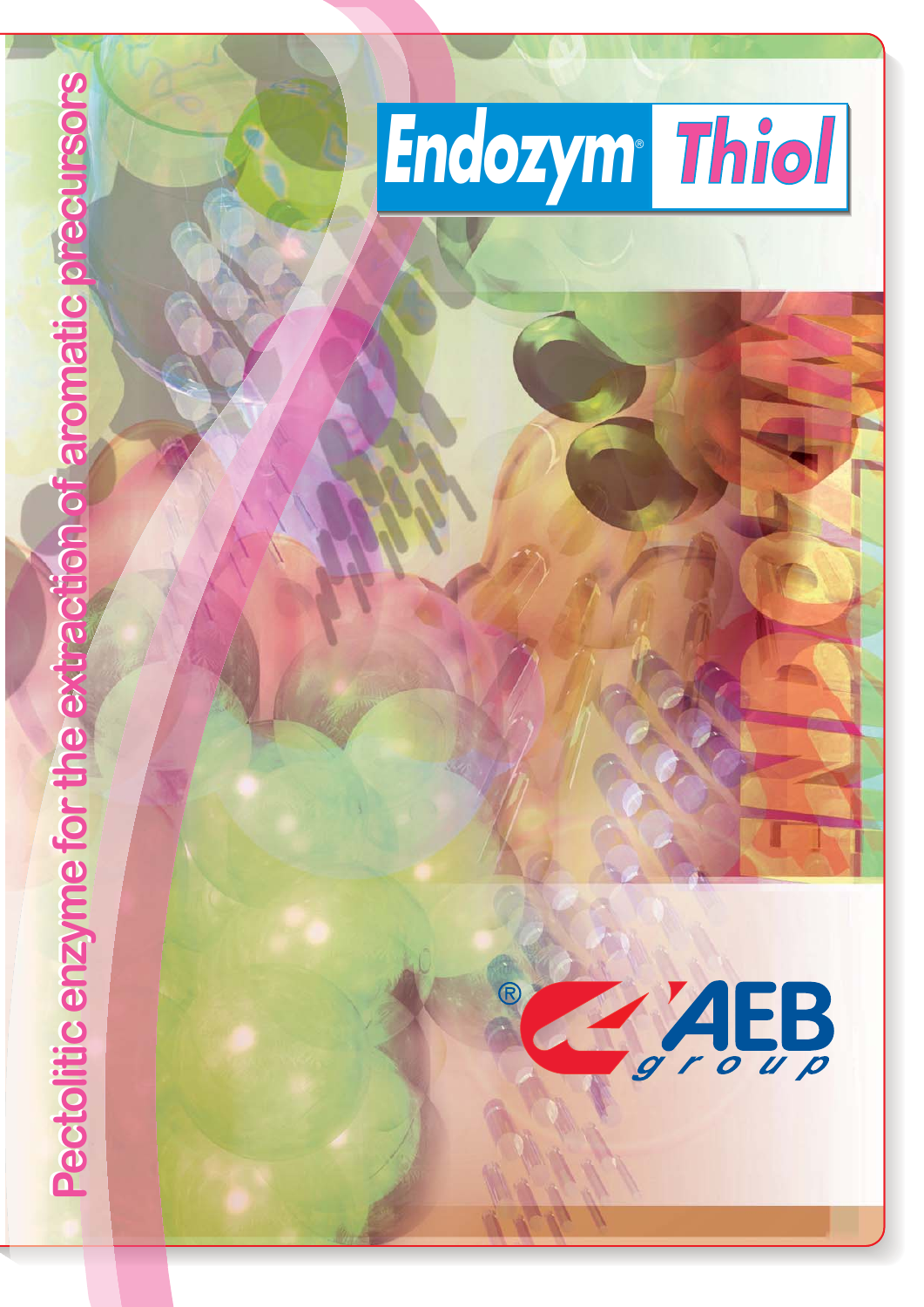



AEB